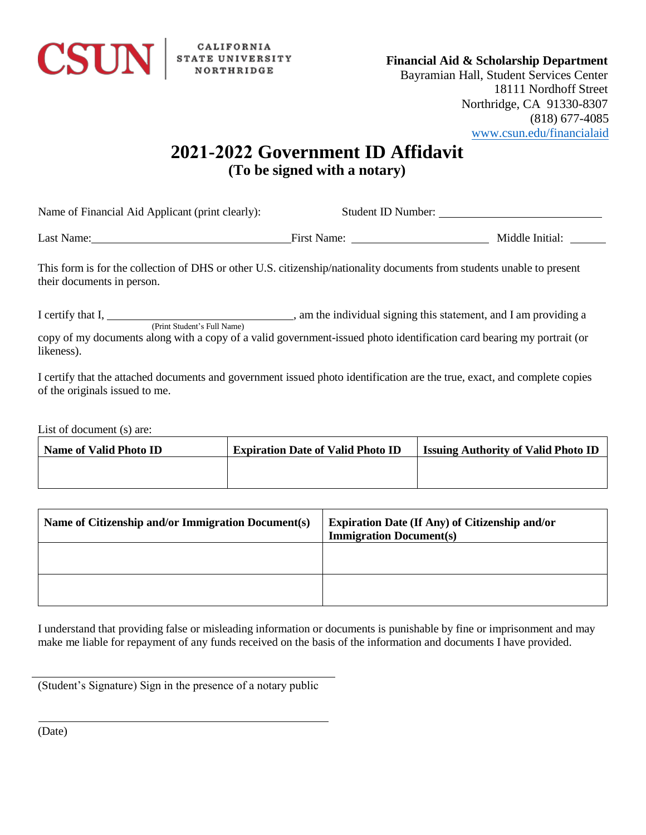

## **Financial Aid & Scholarship Department**

Bayramian Hall, Student Services Center 18111 Nordhoff Street Northridge, CA 91330-8307 (818) 677-4085 [www.csun.edu/financialaid](http://www.csun.edu/financialaid)

## **2021-2022 Government ID Affidavit (To be signed with a notary)**

Name of Financial Aid Applicant (print clearly): Student ID Number:

Last Name: Middle Initial: Name: First Name: Middle Initial: Middle Initial:

This form is for the collection of DHS or other U.S. citizenship/nationality documents from students unable to present their documents in person.

I certify that I, , (Print Student's Full Name) am the individual signing this statement, and I am providing a copy of my documents along with a copy of a valid government-issued photo identification card bearing my portrait (or likeness).

I certify that the attached documents and government issued photo identification are the true, exact, and complete copies of the originals issued to me.

List of document (s) are:

| Name of Valid Photo ID | <b>Expiration Date of Valid Photo ID</b> | <b>Issuing Authority of Valid Photo ID</b> |
|------------------------|------------------------------------------|--------------------------------------------|
|                        |                                          |                                            |
|                        |                                          |                                            |

| Name of Citizenship and/or Immigration Document(s) | <b>Expiration Date (If Any) of Citizenship and/or</b><br><b>Immigration Document(s)</b> |
|----------------------------------------------------|-----------------------------------------------------------------------------------------|
|                                                    |                                                                                         |
|                                                    |                                                                                         |

I understand that providing false or misleading information or documents is punishable by fine or imprisonment and may make me liable for repayment of any funds received on the basis of the information and documents I have provided.

(Student's Signature) Sign in the presence of a notary public

(Date)